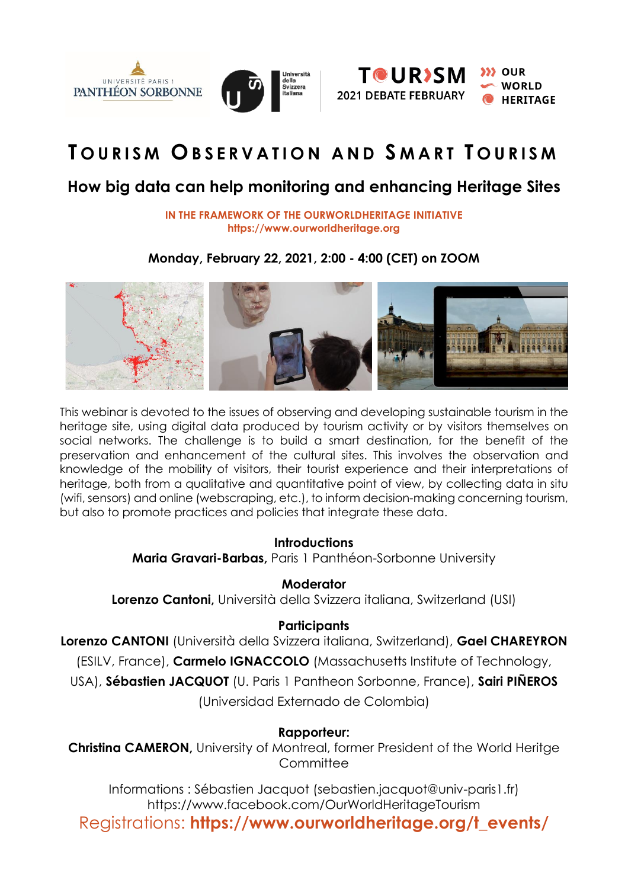



# **T O U R I S M O B S E R V A T I O N A N D S M A R T T O U R I S M**

## **How big data can help monitoring and enhancing Heritage Sites**

**IN THE FRAMEWORK OF THE OURWORLDHERITAGE INITIATIVE https://www.ourworldheritage.org**

## **Monday, February 22, 2021, 2:00 - 4:00 (CET) on ZOOM**



This webinar is devoted to the issues of observing and developing sustainable tourism in the heritage site, using digital data produced by tourism activity or by visitors themselves on social networks. The challenge is to build a smart destination, for the benefit of the preservation and enhancement of the cultural sites. This involves the observation and knowledge of the mobility of visitors, their tourist experience and their interpretations of heritage, both from a qualitative and quantitative point of view, by collecting data in situ (wifi, sensors) and online (webscraping, etc.), to inform decision-making concerning tourism, but also to promote practices and policies that integrate these data.

## **Introductions**

**Maria Gravari-Barbas,** Paris 1 Panthéon-Sorbonne University

## **Moderator**

**Lorenzo Cantoni,** Università della Svizzera italiana, Switzerland (USI)

## **Participants**

**Lorenzo CANTONI** (Università della Svizzera italiana, Switzerland), **Gael CHAREYRON**

(ESILV, France), **Carmelo IGNACCOLO** (Massachusetts Institute of Technology,

USA), **Sébastien JACQUOT** (U. Paris 1 Pantheon Sorbonne, France), **Sairi PIÑEROS**

(Universidad Externado de Colombia)

## **Rapporteur:**

**Christina CAMERON,** University of Montreal, former President of the World Heritge **Committee** 

Informations : [Sébastien](mailto:maria.gravari-barbas@wanadoo.fr) Jacquot (sebastien.jacquot@univ-paris1.fr) <https://www.facebook.com/OurWorldHeritageTourism> Registrations: **https://www.ourworldheritage.org/t\_events/**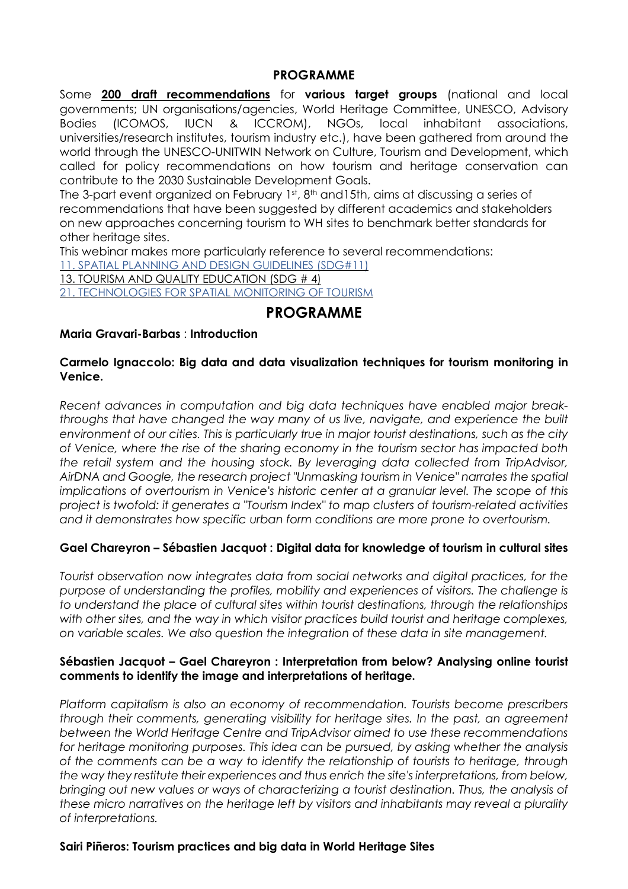#### **PROGRAMME**

Some **200 draft [recommendations](https://www.pantheonsorbonne.fr/ufr/irest/chaire-unesco/manifestations-et-projets/200-recommandations-pour-le-tourisme-dans-les-sites-du-patrimoine-mondial/)** for **various target groups** (national and local governments; UN organisations/agencies, World Heritage Committee, UNESCO, Advisory Bodies (ICOMOS, IUCN & ICCROM), NGOs, local inhabitant associations, universities/research institutes, tourism industry etc.), have been gathered from around the world through the UNESCO-UNITWIN Network on Culture, Tourism and Development, which called for policy recommendations on how tourism and heritage conservation can contribute to the 2030 Sustainable Development Goals.

The 3-part event organized on February 1st, 8th and15th, aims at discussing a series of recommendations that have been suggested by different academics and stakeholders on new approaches concerning tourism to WH sites to benchmark better standards for other heritage sites.

This webinar makes more particularly reference to several recommendations:

11. SPATIAL PLANNING AND DESIGN [GUIDELINES](https://usi.qualtrics.com/jfe/form/SV_860DX1DOMYnAJiC) (SDG#11)

13. TOURISM AND QUALITY [EDUCATION](https://usi.qualtrics.com/jfe/form/SV_5zKVGl3TSoyPUrk) (SDG # 4)

21. [TECHNOLOGIES](https://usi.qualtrics.com/jfe/form/SV_7OGh28UV8nUTPo2) FOR SPATIAL MONITORING OF TOURISM

## **PROGRAMME**

#### **Maria Gravari-Barbas** : **Introduction**

#### **Carmelo Ignaccolo: Big data and data visualization techniques for tourism monitoring in Venice.**

*Recent advances in computation and big data techniques have enabled major breakthroughs that have changed the way many of us live, navigate, and experience the built environment of our cities. This is particularly true in major tourist destinations, such as the city of Venice, where the rise of the sharing economy in the tourism sector has impacted both the retail system and the housing stock. By leveraging data collected from TripAdvisor, AirDNA and Google, the research project "Unmasking tourism in Venice" narrates the spatial implications of overtourism in Venice's historic center at a granular level. The scope of this project is twofold: it generates a "Tourism Index" to map clusters of tourism-related activities and it demonstrates how specific urban form conditions are more prone to overtourism.*

#### **Gael Chareyron – Sébastien Jacquot : Digital data for knowledge of tourism in cultural sites**

*Tourist observation now integrates data from social networks and digital practices, for the purpose of understanding the profiles, mobility and experiences of visitors. The challenge is to understand the place of cultural sites within tourist destinations, through the relationships with other sites, and the way in which visitor practices build tourist and heritage complexes, on variable scales. We also question the integration of these data in site management.*

#### **Sébastien Jacquot – Gael Chareyron : Interpretation from below? Analysing online tourist comments to identify the image and interpretations of heritage.**

*Platform capitalism is also an economy of recommendation. Tourists become prescribers through their comments, generating visibility for heritage sites. In the past, an agreement between the World Heritage Centre and TripAdvisor aimed to use these recommendations for heritage monitoring purposes. This idea can be pursued, by asking whether the analysis of the comments can be a way to identify the relationship of tourists to heritage, through the way they restitute their experiences and thus enrich the site's interpretations, from below, bringing out new values or ways of characterizing a tourist destination. Thus, the analysis of these micro narratives on the heritage left by visitors and inhabitants may reveal a plurality of interpretations.*

#### **Sairi Piñeros: Tourism practices and big data in World Heritage Sites**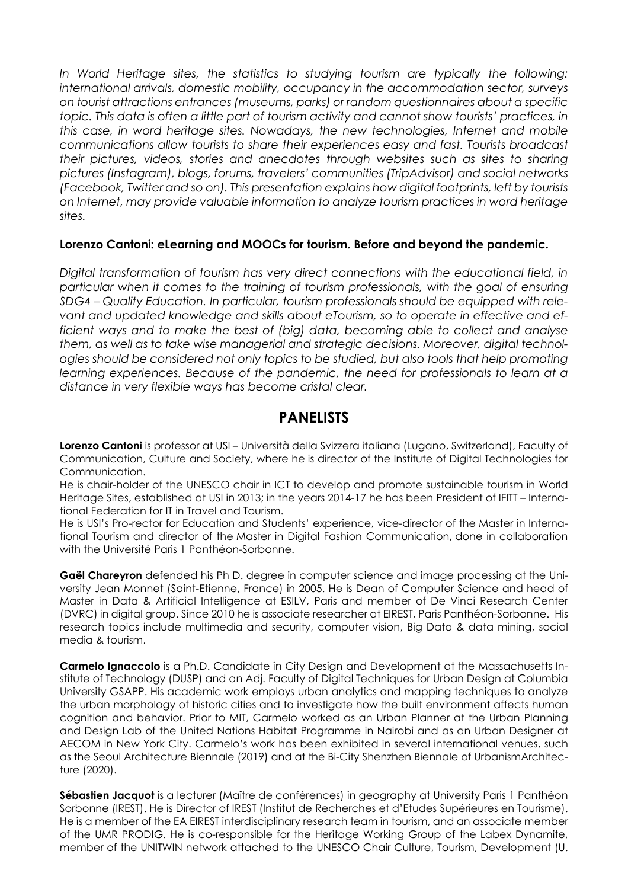*In World Heritage sites, the statistics to studying tourism are typically the following: international arrivals, domestic mobility, occupancy in the accommodation sector, surveys on tourist attractions entrances (museums, parks) or random questionnaires about a specific topic. This data is often a little part of tourism activity and cannot show tourists' practices, in this case, in word heritage sites. Nowadays, the new technologies, Internet and mobile communications allow tourists to share their experiences easy and fast. Tourists broadcast their pictures, videos, stories and anecdotes through websites such as sites to sharing pictures (Instagram), blogs, forums, travelers' communities (TripAdvisor) and social networks (Facebook, Twitter and so on). This presentation explains how digital footprints, left by tourists on Internet, may provide valuable information to analyze tourism practices in word heritage sites.*

#### **Lorenzo Cantoni: eLearning and MOOCs for tourism. Before and beyond the pandemic.**

*Digital transformation of tourism has very direct connections with the educational field, in particular when it comes to the training of tourism professionals, with the goal of ensuring SDG4 – Quality Education. In particular, tourism professionals should be equipped with relevant and updated knowledge and skills about eTourism, so to operate in effective and efficient ways and to make the best of (big) data, becoming able to collect and analyse them, as well as to take wise managerial and strategic decisions. Moreover, digital technologies should be considered not only topics to be studied, but also tools that help promoting learning experiences. Because of the pandemic, the need for professionals to learn at a distance in very flexible ways has become cristal clear.*

## **PANELISTS**

**Lorenzo Cantoni** is professor at USI – Università della Svizzera italiana (Lugano, Switzerland), Faculty of Communication, Culture and Society, where he is director of the Institute of Digital Technologies for Communication.

He is chair-holder of the UNESCO chair in ICT to develop and promote sustainable tourism in World Heritage Sites, established at USI in 2013; in the years 2014-17 he has been President of IFITT – International Federation for IT in Travel and Tourism.

He is USI's Pro-rector for Education and Students' experience, vice-director of the Master in International Tourism and director of the Master in Digital Fashion Communication, done in collaboration with the Université Paris 1 Panthéon-Sorbonne.

**Gaël Chareyron** defended his Ph D. degree in computer science and image processing at the University Jean Monnet (Saint-Etienne, France) in 2005. He is Dean of Computer Science and head of Master in Data & Artificial Intelligence at ESILV, Paris and member of De Vinci Research Center (DVRC) in digital group. Since 2010 he is associate researcher at EIREST, Paris Panthéon-Sorbonne. His research topics include multimedia and security, computer vision, Big Data & data mining, social media & tourism.

**Carmelo Ignaccolo** is a Ph.D. Candidate in City Design and Development at the Massachusetts Institute of Technology (DUSP) and an Adj. Faculty of Digital Techniques for Urban Design at Columbia University GSAPP. His academic work employs urban analytics and mapping techniques to analyze the urban morphology of historic cities and to investigate how the built environment affects human cognition and behavior. Prior to MIT, Carmelo worked as an Urban Planner at the Urban Planning and Design Lab of the United Nations Habitat Programme in Nairobi and as an Urban Designer at AECOM in New York City. Carmelo's work has been exhibited in several international venues, such as the Seoul Architecture Biennale (2019) and at the Bi-City Shenzhen Biennale of UrbanismArchitecture (2020).

**Sébastien Jacquot** is a lecturer (Maître de conférences) in geography at University Paris 1 Panthéon Sorbonne (IREST). He is Director of IREST (Institut de Recherches et d'Etudes Supérieures en Tourisme). He is a member of the EA EIREST interdisciplinary research team in tourism, and an associate member of the UMR PRODIG. He is co-responsible for the Heritage Working Group of the Labex Dynamite, member of the UNITWIN network attached to the UNESCO Chair Culture, Tourism, Development (U.